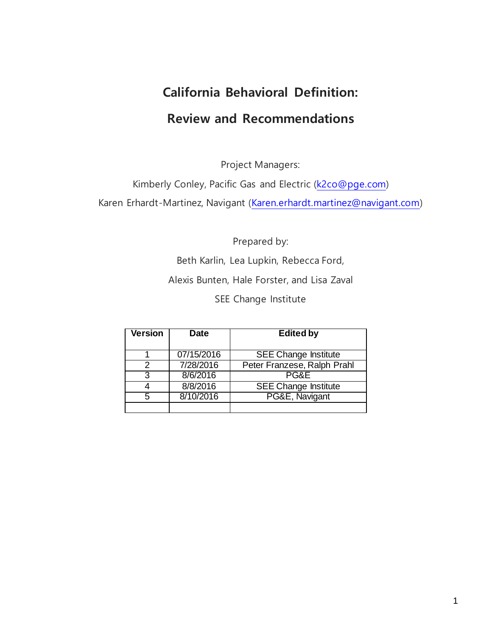# **California Behavioral Definition: Review and Recommendations**

Project Managers:

Kimberly Conley, Pacific Gas and Electric [\(k2co@pge.com\)](mailto:k2co@pge.com)

Karen Erhardt-Martinez, Navigant [\(Karen.erhardt.martinez@navigant.com\)](mailto:Karen.erhardt.martinez@navigant.com)

Prepared by:

Beth Karlin, Lea Lupkin, Rebecca Ford, Alexis Bunten, Hale Forster, and Lisa Zaval

SEE Change Institute

| <b>Version</b> | <b>Date</b> | <b>Edited by</b>            |
|----------------|-------------|-----------------------------|
|                | 07/15/2016  | <b>SEE Change Institute</b> |
| 2              | 7/28/2016   | Peter Franzese, Ralph Prahl |
| વ              | 8/6/2016    | PG&E                        |
|                | 8/8/2016    | <b>SEE Change Institute</b> |
| 5              | 8/10/2016   | PG&E, Navigant              |
|                |             |                             |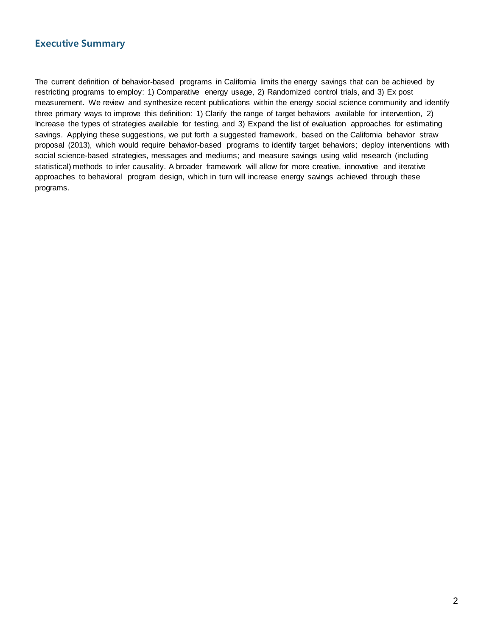The current definition of behavior-based programs in California limits the energy savings that can be achieved by restricting programs to employ: 1) Comparative energy usage, 2) Randomized control trials, and 3) Ex post measurement. We review and synthesize recent publications within the energy social science community and identify three primary ways to improve this definition: 1) Clarify the range of target behaviors available for intervention, 2) Increase the types of strategies available for testing, and 3) Expand the list of evaluation approaches for estimating savings. Applying these suggestions, we put forth a suggested framework, based on the California behavior straw proposal (2013), which would require behavior-based programs to identify target behaviors; deploy interventions with social science-based strategies, messages and mediums; and measure savings using valid research (including statistical) methods to infer causality. A broader framework will allow for more creative, innovative and iterative approaches to behavioral program design, which in turn will increase energy savings achieved through these programs.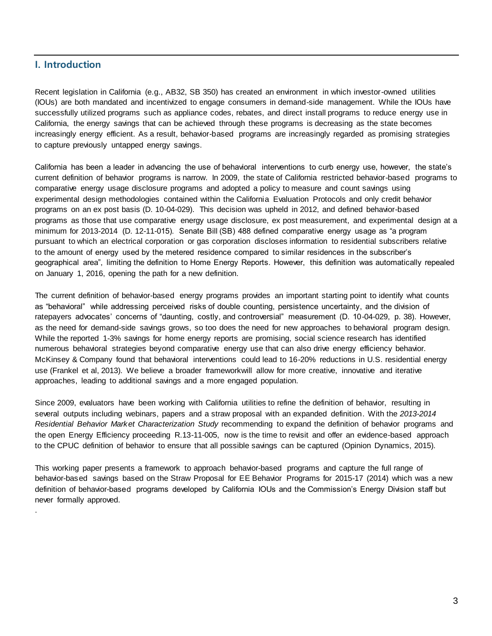# **I. Introduction**

.

Recent legislation in California (e.g., AB32, SB 350) has created an environment in which investor-owned utilities (IOUs) are both mandated and incentivized to engage consumers in demand-side management. While the IOUs have successfully utilized programs such as appliance codes, rebates, and direct install programs to reduce energy use in California, the energy savings that can be achieved through these programs is decreasing as the state becomes increasingly energy efficient. As a result, behavior-based programs are increasingly regarded as promising strategies to capture previously untapped energy savings.

California has been a leader in advancing the use of behavioral interventions to curb energy use, however, the state's current definition of behavior programs is narrow. In 2009, the state of California restricted behavior-based programs to comparative energy usage disclosure programs and adopted a policy to measure and count savings using experimental design methodologies contained within the California Evaluation Protocols and only credit behavior programs on an ex post basis (D. 10-04-029). This decision was upheld in 2012, and defined behavior-based programs as those that use comparative energy usage disclosure, ex post measurement, and experimental design at a minimum for 2013-2014 (D. 12-11-015). Senate Bill (SB) 488 defined comparative energy usage as "a program pursuant to which an electrical corporation or gas corporation discloses information to residential subscribers relative to the amount of energy used by the metered residence compared to similar residences in the subscriber's geographical area", limiting the definition to Home Energy Reports. However, this definition was automatically repealed on January 1, 2016, opening the path for a new definition.

The current definition of behavior-based energy programs provides an important starting point to identify what counts as "behavioral" while addressing perceived risks of double counting, persistence uncertainty, and the division of ratepayers advocates' concerns of "daunting, costly, and controversial" measurement (D. 10-04-029, p. 38). However, as the need for demand-side savings grows, so too does the need for new approaches to behavioral program design. While the reported 1-3% savings for home energy reports are promising, social science research has identified numerous behavioral strategies beyond comparative energy use that can also drive energy efficiency behavior. McKinsey & Company found that behavioral interventions could lead to 16-20% reductions in U.S. residential energy use (Frankel et al, 2013). We believe a broader frameworkwill allow for more creative, innovative and iterative approaches, leading to additional savings and a more engaged population.

Since 2009, evaluators have been working with California utilities to refine the definition of behavior, resulting in several outputs including webinars, papers and a straw proposal with an expanded definition. With the *2013-2014 Residential Behavior Market Characterization Study* recommending to expand the definition of behavior programs and the open Energy Efficiency proceeding R.13-11-005, now is the time to revisit and offer an evidence-based approach to the CPUC definition of behavior to ensure that all possible savings can be captured (Opinion Dynamics, 2015).

This working paper presents a framework to approach behavior-based programs and capture the full range of behavior-based savings based on the Straw Proposal for EE Behavior Programs for 2015-17 (2014) which was a new definition of behavior-based programs developed by California IOUs and the Commission's Energy Division staff but never formally approved.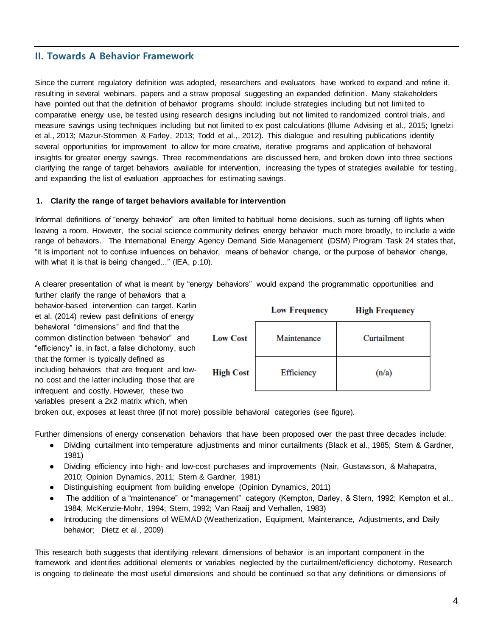## **II. Towards A Behavior Framework**

Since the current regulatory definition was adopted, researchers and evaluators have worked to expand and refine it, resulting in several webinars, papers and a straw proposal suggesting an expanded definition. Many stakeholders have pointed out that the definition of behavior programs should: include strategies including but not limited to comparative energy use, be tested using research designs including but not limited to randomized control trials, and measure savings using techniques including but not limited to ex post calculations (Illume Advising et al., 2015; Ignelzi et al., 2013; Mazur-Stommen & Farley, 2013; Todd et al.,, 2012). This dialogue and resulting publications identify several opportunities for improvement to allow for more creative, iterative programs and application of behavioral insights for greater energy savings. Three recommendations are discussed here, and broken down into three sections clarifying the range of target behaviors available for intervention, increasing the types of strategies available for testing, and expanding the list of evaluation approaches for estimating savings.

## **1. Clarify the range of target behaviors available for intervention**

Informal definitions of "energy behavior" are often limited to habitual home decisions, such as turning off lights when leaving a room. However, the social science community defines energy behavior much more broadly, to include a wide range of behaviors. The International Energy Agency Demand Side Management (DSM) Program Task 24 states that, "it is important not to confuse influences on behavior, means of behavior change, or the purpose of behavior change, with what it is that is being changed..." (IEA, p.10).

A clearer presentation of what is meant by "energy behaviors" would expand the programmatic opportunities and

further clarify the range of behaviors that a behavior-based intervention can target. Karlin et al. (2014) review past definitions of energy behavioral "dimensions" and find that the common distinction between "behavior" and "efficiency" is, in fact, a false dichotomy, such that the former is typically defined as including behaviors that are frequent and lowno cost and the latter including those that are infrequent and costly. However, these two variables present a 2x2 matrix which, when

|                  | <b>Low Frequency</b> | <b>High Frequency</b> |
|------------------|----------------------|-----------------------|
| <b>Low Cost</b>  | Maintenance          | Curtailment           |
| <b>High Cost</b> | Efficiency           | (n/a)                 |

broken out, exposes at least three (if not more) possible behavioral categories (see figure).

Further dimensions of energy conservation behaviors that have been proposed over the past three decades include:

- Dividing curtailment into temperature adjustments and minor curtailments (Black et al., 1985; Stern & Gardner, 1981)
- Dividing efficiency into high- and low-cost purchases and improvements (Nair, Gustavsson, & Mahapatra, 2010; Opinion Dynamics, 2011; Stern & Gardner, 1981)
- Distinguishing equipment from building envelope (Opinion Dynamics, 2011)
- The addition of a "maintenance" or "management" category (Kempton, Darley, & Stern, 1992; Kempton et al., 1984; McKenzie-Mohr, 1994; Stern, 1992; Van Raaij and Verhallen, 1983)
- Introducing the dimensions of WEMAD (Weatherization, Equipment, Maintenance, Adjustments, and Daily behavior; Dietz et al., 2009)

This research both suggests that identifying relevant dimensions of behavior is an important component in the framework and identifies additional elements or variables neglected by the curtailment/efficiency dichotomy. Research is ongoing to delineate the most useful dimensions and should be continued so that any definitions or dimensions of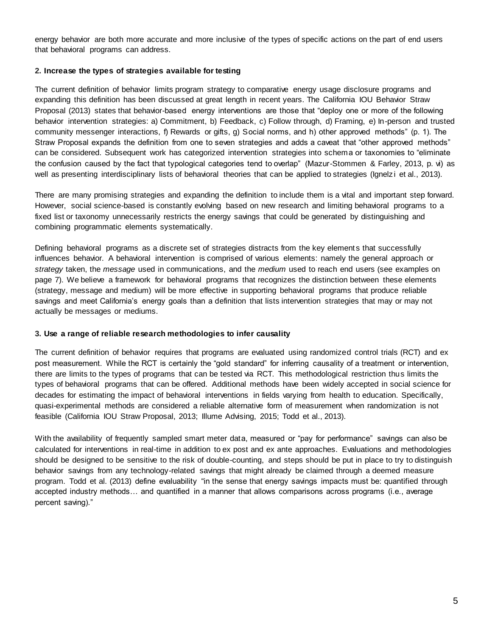energy behavior are both more accurate and more inclusive of the types of specific actions on the part of end users that behavioral programs can address.

#### **2. Increase the types of strategies available for testing**

The current definition of behavior limits program strategy to comparative energy usage disclosure programs and expanding this definition has been discussed at great length in recent years. The California IOU Behavior Straw Proposal (2013) states that behavior-based energy interventions are those that "deploy one or more of the following behavior intervention strategies: a) Commitment, b) Feedback, c) Follow through, d) Framing, e) In-person and trusted community messenger interactions, f) Rewards or gifts, g) Social norms, and h) other approved methods" (p. 1). The Straw Proposal expands the definition from one to seven strategies and adds a caveat that "other approved methods" can be considered. Subsequent work has categorized intervention strategies into schema or taxonomies to "eliminate the confusion caused by the fact that typological categories tend to overlap" (Mazur-Stommen & Farley, 2013, p. vi) as well as presenting interdisciplinary lists of behavioral theories that can be applied to strategies (Ignelzi et al., 2013).

There are many promising strategies and expanding the definition to include them is a vital and important step forward. However, social science-based is constantly evolving based on new research and limiting behavioral programs to a fixed list or taxonomy unnecessarily restricts the energy savings that could be generated by distinguishing and combining programmatic elements systematically.

Defining behavioral programs as a discrete set of strategies distracts from the key elements that successfully influences behavior. A behavioral intervention is comprised of various elements: namely the general approach or *strategy* taken, the *message* used in communications, and the *medium* used to reach end users (see examples on page 7). We believe a framework for behavioral programs that recognizes the distinction between these elements (strategy, message and medium) will be more effective in supporting behavioral programs that produce reliable savings and meet California's energy goals than a definition that lists intervention strategies that may or may not actually be messages or mediums.

## **3. Use a range of reliable research methodologies to infer causality**

The current definition of behavior requires that programs are evaluated using randomized control trials (RCT) and ex post measurement. While the RCT is certainly the "gold standard" for inferring causality of a treatment or intervention, there are limits to the types of programs that can be tested via RCT. This methodological restriction thus limits the types of behavioral programs that can be offered. Additional methods have been widely accepted in social science for decades for estimating the impact of behavioral interventions in fields varying from health to education. Specifically, quasi-experimental methods are considered a reliable alternative form of measurement when randomization is not feasible (California IOU Straw Proposal, 2013; Illume Advising, 2015; Todd et al., 2013).

With the availability of frequently sampled smart meter data, measured or "pay for performance" savings can also be calculated for interventions in real-time in addition to ex post and ex ante approaches. Evaluations and methodologies should be designed to be sensitive to the risk of double-counting, and steps should be put in place to try to distinguish behavior savings from any technology-related savings that might already be claimed through a deemed measure program. Todd et al. (2013) define evaluability "in the sense that energy savings impacts must be: quantified through accepted industry methods… and quantified in a manner that allows comparisons across programs (i.e., average percent saving)."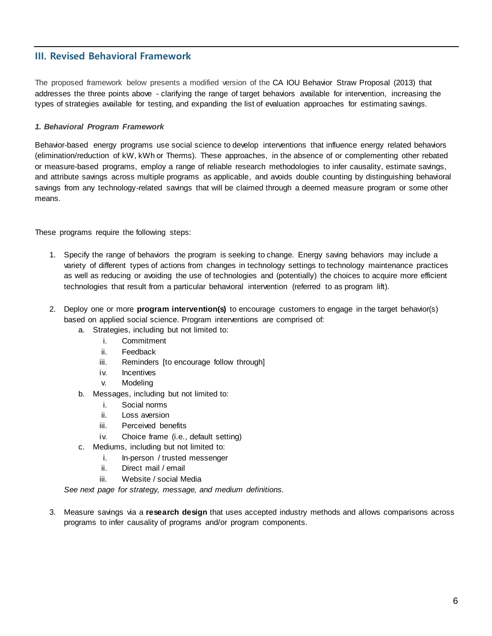## **III. Revised Behavioral Framework**

The proposed framework below presents a modified version of the CA IOU Behavior Straw Proposal (2013) that addresses the three points above - clarifying the range of target behaviors available for intervention, increasing the types of strategies available for testing, and expanding the list of evaluation approaches for estimating savings.

### *1. Behavioral Program Framework*

Behavior-based energy programs use social science to develop interventions that influence energy related behaviors (elimination/reduction of kW, kWh or Therms). These approaches, in the absence of or complementing other rebated or measure-based programs, employ a range of reliable research methodologies to infer causality, estimate savings, and attribute savings across multiple programs as applicable, and avoids double counting by distinguishing behavioral savings from any technology-related savings that will be claimed through a deemed measure program or some other means.

These programs require the following steps:

- 1. Specify the range of behaviors the program is seeking to change. Energy saving behaviors may include a variety of different types of actions from changes in technology settings to technology maintenance practices as well as reducing or avoiding the use of technologies and (potentially) the choices to acquire more efficient technologies that result from a particular behavioral intervention (referred to as program lift).
- 2. Deploy one or more **program intervention(s)** to encourage customers to engage in the target behavior(s) based on applied social science. Program interventions are comprised of:
	- a. Strategies, including but not limited to:
		- i. Commitment
		- ii. Feedback
		- iii. Reminders [to encourage follow through]
		- iv. Incentives
		- v. Modeling
	- b. Messages, including but not limited to:
		- i. Social norms
		- ii. Loss aversion
		- iii. Perceived benefits
		- iv. Choice frame (i.e., default setting)
	- c. Mediums, including but not limited to:
		- i. In-person / trusted messenger
		- ii. Direct mail / email
		- iii. Website / social Media

*See next page for strategy, message, and medium definitions.* 

3. Measure savings via a **research design** that uses accepted industry methods and allows comparisons across programs to infer causality of programs and/or program components.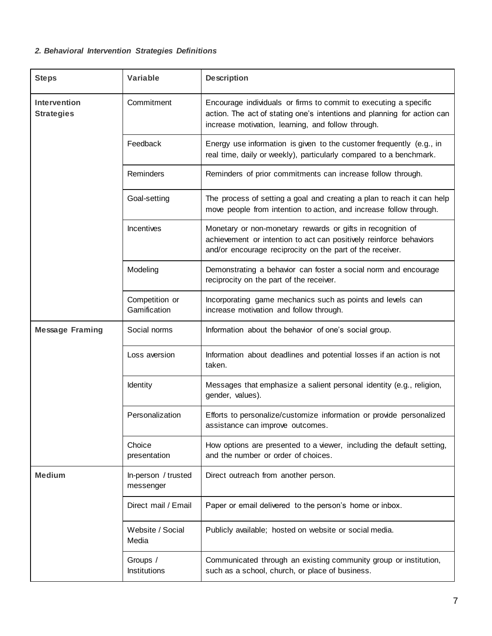# *2. Behavioral Intervention Strategies Definitions*

| <b>Steps</b>                             | <b>Variable</b>                  | <b>Description</b>                                                                                                                                                                                |
|------------------------------------------|----------------------------------|---------------------------------------------------------------------------------------------------------------------------------------------------------------------------------------------------|
| <b>Intervention</b><br><b>Strategies</b> | Commitment                       | Encourage individuals or firms to commit to executing a specific<br>action. The act of stating one's intentions and planning for action can<br>increase motivation, learning, and follow through. |
|                                          | Feedback                         | Energy use information is given to the customer frequently (e.g., in<br>real time, daily or weekly), particularly compared to a benchmark.                                                        |
|                                          | Reminders                        | Reminders of prior commitments can increase follow through.                                                                                                                                       |
|                                          | Goal-setting                     | The process of setting a goal and creating a plan to reach it can help<br>move people from intention to action, and increase follow through.                                                      |
|                                          | Incentives                       | Monetary or non-monetary rewards or gifts in recognition of<br>achievement or intention to act can positively reinforce behaviors<br>and/or encourage reciprocity on the part of the receiver.    |
|                                          | Modeling                         | Demonstrating a behavior can foster a social norm and encourage<br>reciprocity on the part of the receiver.                                                                                       |
|                                          | Competition or<br>Gamification   | Incorporating game mechanics such as points and levels can<br>increase motivation and follow through.                                                                                             |
| <b>Message Framing</b>                   | Social norms                     | Information about the behavior of one's social group.                                                                                                                                             |
|                                          | Loss aversion                    | Information about deadlines and potential losses if an action is not<br>taken.                                                                                                                    |
|                                          | Identity                         | Messages that emphasize a salient personal identity (e.g., religion,<br>gender, values).                                                                                                          |
|                                          | Personalization                  | Efforts to personalize/customize information or provide personalized<br>assistance can improve outcomes.                                                                                          |
|                                          | Choice<br>presentation           | How options are presented to a viewer, including the default setting,<br>and the number or order of choices.                                                                                      |
| <b>Medium</b>                            | In-person / trusted<br>messenger | Direct outreach from another person.                                                                                                                                                              |
|                                          | Direct mail / Email              | Paper or email delivered to the person's home or inbox.                                                                                                                                           |
|                                          | Website / Social<br>Media        | Publicly available; hosted on website or social media.                                                                                                                                            |
|                                          | Groups /<br>Institutions         | Communicated through an existing community group or institution,<br>such as a school, church, or place of business.                                                                               |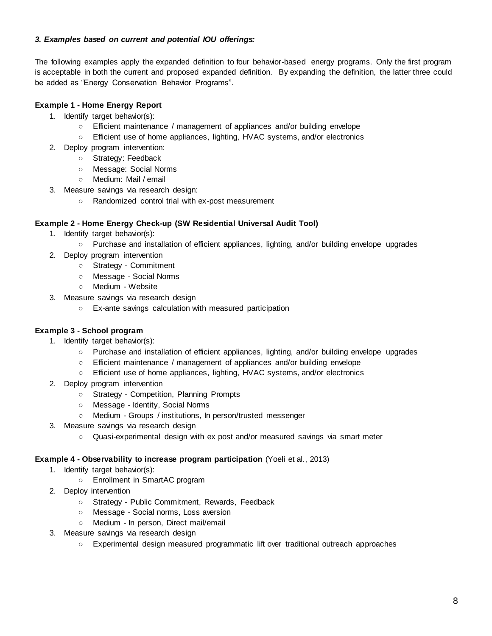## *3. Examples based on current and potential IOU offerings:*

The following examples apply the expanded definition to four behavior-based energy programs. Only the first program is acceptable in both the current and proposed expanded definition. By expanding the definition, the latter three could be added as "Energy Conservation Behavior Programs".

## **Example 1 - Home Energy Report**

- 1. Identify target behavior(s):
	- Efficient maintenance / management of appliances and/or building envelope
	- Efficient use of home appliances, lighting, HVAC systems, and/or electronics
- 2. Deploy program intervention:
	- Strategy: Feedback
	- Message: Social Norms
	- Medium: Mail / email
- 3. Measure savings via research design:
	- Randomized control trial with ex-post measurement

## **Example 2 - Home Energy Check-up (SW Residential Universal Audit Tool)**

- 1. Identify target behavior(s):
	- Purchase and installation of efficient appliances, lighting, and/or building envelope upgrades
- 2. Deploy program intervention
	- Strategy Commitment
	- Message Social Norms
	- Medium Website
- 3. Measure savings via research design
	- Ex-ante savings calculation with measured participation

## **Example 3 - School program**

- 1. Identify target behavior(s):
	- Purchase and installation of efficient appliances, lighting, and/or building envelope upgrades
	- Efficient maintenance / management of appliances and/or building envelope
	- Efficient use of home appliances, lighting, HVAC systems, and/or electronics
- 2. Deploy program intervention
	- Strategy Competition, Planning Prompts
	- Message Identity, Social Norms
	- Medium Groups / institutions, In person/trusted messenger
- 3. Measure savings via research design
	- Quasi-experimental design with ex post and/or measured savings via smart meter

## **Example 4 - Observability to increase program participation** (Yoeli et al., 2013)

- 1. Identify target behavior(s):
	- Enrollment in SmartAC program
- 2. Deploy intervention
	- Strategy Public Commitment, Rewards, Feedback
	- Message Social norms, Loss aversion
	- Medium In person, Direct mail/email
- 3. Measure savings via research design
	- Experimental design measured programmatic lift over traditional outreach approaches